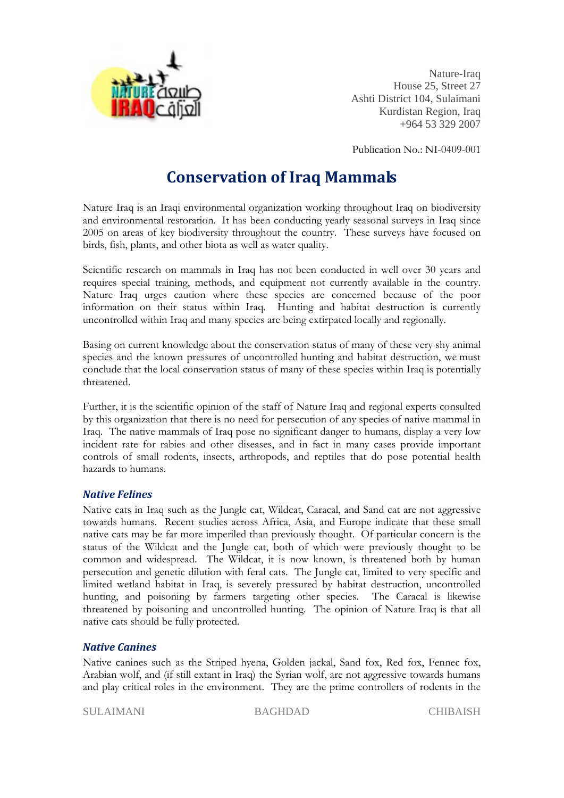

 Nature-Iraq House 25, Street 27 Ashti District 104, Sulaimani Kurdistan Region, Iraq +964 53 329 2007

Publication No.: NI-0409-001

# **Conservation of Iraq Mammals**

Nature Iraq is an Iraqi environmental organization working throughout Iraq on biodiversity and environmental restoration. It has been conducting yearly seasonal surveys in Iraq since 2005 on areas of key biodiversity throughout the country. These surveys have focused on birds, fish, plants, and other biota as well as water quality.

Scientific research on mammals in Iraq has not been conducted in well over 30 years and requires special training, methods, and equipment not currently available in the country. Nature Iraq urges caution where these species are concerned because of the poor information on their status within Iraq. Hunting and habitat destruction is currently uncontrolled within Iraq and many species are being extirpated locally and regionally.

Basing on current knowledge about the conservation status of many of these very shy animal species and the known pressures of uncontrolled hunting and habitat destruction, we must conclude that the local conservation status of many of these species within Iraq is potentially threatened.

Further, it is the scientific opinion of the staff of Nature Iraq and regional experts consulted by this organization that there is no need for persecution of any species of native mammal in Iraq. The native mammals of Iraq pose no significant danger to humans, display a very low incident rate for rabies and other diseases, and in fact in many cases provide important controls of small rodents, insects, arthropods, and reptiles that do pose potential health hazards to humans.

### *Native Felines*

Native cats in Iraq such as the Jungle cat, Wildcat, Caracal, and Sand cat are not aggressive towards humans. Recent studies across Africa, Asia, and Europe indicate that these small native cats may be far more imperiled than previously thought. Of particular concern is the status of the Wildcat and the Jungle cat, both of which were previously thought to be common and widespread. The Wildcat, it is now known, is threatened both by human persecution and genetic dilution with feral cats. The Jungle cat, limited to very specific and limited wetland habitat in Iraq, is severely pressured by habitat destruction, uncontrolled hunting, and poisoning by farmers targeting other species. The Caracal is likewise threatened by poisoning and uncontrolled hunting. The opinion of Nature Iraq is that all native cats should be fully protected.

### *Native Canines*

Native canines such as the Striped hyena, Golden jackal, Sand fox, Red fox, Fennec fox, Arabian wolf, and (if still extant in Iraq) the Syrian wolf, are not aggressive towards humans and play critical roles in the environment. They are the prime controllers of rodents in the

SULAIMANI BAGHDAD CHIBAISH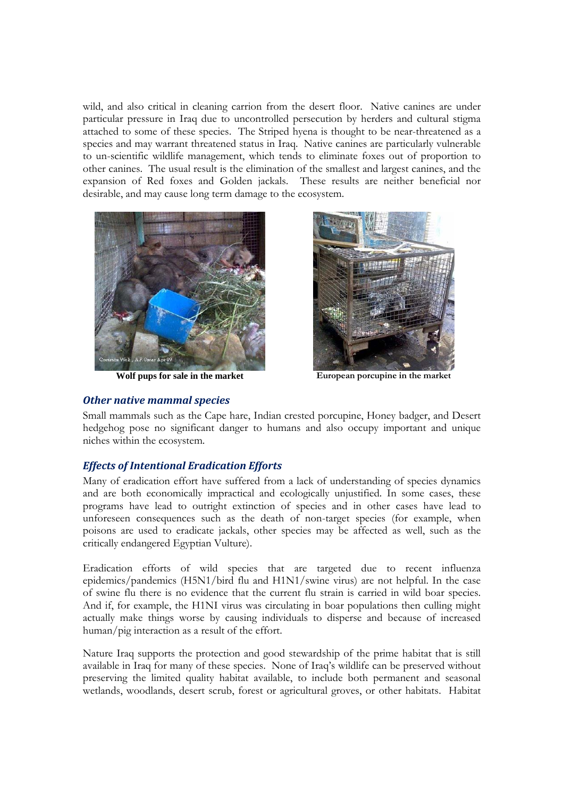wild, and also critical in cleaning carrion from the desert floor. Native canines are under particular pressure in Iraq due to uncontrolled persecution by herders and cultural stigma attached to some of these species. The Striped hyena is thought to be near-threatened as a species and may warrant threatened status in Iraq. Native canines are particularly vulnerable to un-scientific wildlife management, which tends to eliminate foxes out of proportion to other canines. The usual result is the elimination of the smallest and largest canines, and the expansion of Red foxes and Golden jackals. These results are neither beneficial nor desirable, and may cause long term damage to the ecosystem.



**Wolf pups for sale in the market European porcupine in the market** 

*Other native mammal species*



Small mammals such as the Cape hare, Indian crested porcupine, Honey badger, and Desert hedgehog pose no significant danger to humans and also occupy important and unique niches within the ecosystem.

### *Effects of Intentional Eradication Efforts*

Many of eradication effort have suffered from a lack of understanding of species dynamics and are both economically impractical and ecologically unjustified. In some cases, these programs have lead to outright extinction of species and in other cases have lead to unforeseen consequences such as the death of non-target species (for example, when poisons are used to eradicate jackals, other species may be affected as well, such as the critically endangered Egyptian Vulture).

Eradication efforts of wild species that are targeted due to recent influenza epidemics/pandemics (H5N1/bird flu and H1N1/swine virus) are not helpful. In the case of swine flu there is no evidence that the current flu strain is carried in wild boar species. And if, for example, the H1NI virus was circulating in boar populations then culling might actually make things worse by causing individuals to disperse and because of increased human/pig interaction as a result of the effort.

Nature Iraq supports the protection and good stewardship of the prime habitat that is still available in Iraq for many of these species. None of Iraq's wildlife can be preserved without preserving the limited quality habitat available, to include both permanent and seasonal wetlands, woodlands, desert scrub, forest or agricultural groves, or other habitats. Habitat